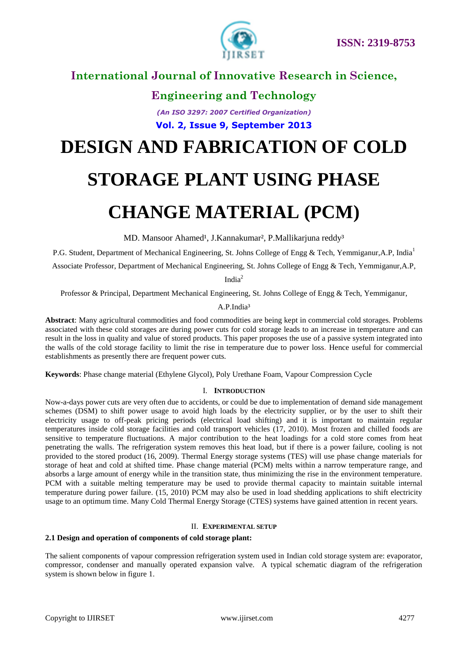

# **International Journal of Innovative Research in Science,**

**Engineering and Technology**

*(An ISO 3297: 2007 Certified Organization)* **Vol. 2, Issue 9, September 2013**

# **DESIGN AND FABRICATION OF COLD**

# **STORAGE PLANT USING PHASE**

# **CHANGE MATERIAL (PCM)**

MD. Mansoor Ahamed<sup>1</sup>, J.Kannakumar<sup>2</sup>, P.Mallikarjuna reddy<sup>3</sup>

P.G. Student, Department of Mechanical Engineering, St. Johns College of Engg & Tech, Yemmiganur,A.P, India<sup>1</sup>

Associate Professor, Department of Mechanical Engineering, St. Johns College of Engg & Tech, Yemmiganur,A.P,

India<sup>2</sup>

Professor & Principal, Department Mechanical Engineering, St. Johns College of Engg & Tech, Yemmiganur,

#### A.P.India<sup>3</sup>

**Abstract**: Many agricultural commodities and food commodities are being kept in commercial cold storages. Problems associated with these cold storages are during power cuts for cold storage leads to an increase in temperature and can result in the loss in quality and value of stored products. This paper proposes the use of a passive system integrated into the walls of the cold storage facility to limit the rise in temperature due to power loss. Hence useful for commercial establishments as presently there are frequent power cuts.

**Keywords**: Phase change material (Ethylene Glycol), Poly Urethane Foam, Vapour Compression Cycle

#### I. **INTRODUCTION**

Now-a-days power cuts are very often due to accidents, or could be due to implementation of demand side management schemes (DSM) to shift power usage to avoid high loads by the electricity supplier, or by the user to shift their electricity usage to off-peak pricing periods (electrical load shifting) and it is important to maintain regular temperatures inside cold storage facilities and cold transport vehicles (17, 2010). Most frozen and chilled foods are sensitive to temperature fluctuations. A major contribution to the heat loadings for a cold store comes from heat penetrating the walls. The refrigeration system removes this heat load, but if there is a power failure, cooling is not provided to the stored product (16, 2009). Thermal Energy storage systems (TES) will use phase change materials for storage of heat and cold at shifted time. Phase change material (PCM) melts within a narrow temperature range, and absorbs a large amount of energy while in the transition state, thus minimizing the rise in the environment temperature. PCM with a suitable melting temperature may be used to provide thermal capacity to maintain suitable internal temperature during power failure. (15, 2010) PCM may also be used in load shedding applications to shift electricity usage to an optimum time. Many Cold Thermal Energy Storage (CTES) systems have gained attention in recent years.

#### II. **EXPERIMENTAL SETUP**

#### **2.1 Design and operation of components of cold storage plant:**

The salient components of vapour compression refrigeration system used in Indian cold storage system are: evaporator, compressor, condenser and manually operated expansion valve. A typical schematic diagram of the refrigeration system is shown below in figure 1.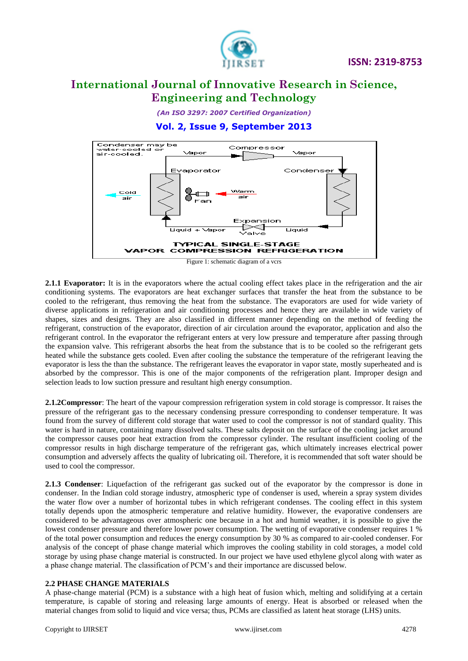

*(An ISO 3297: 2007 Certified Organization)*

### **Vol. 2, Issue 9, September 2013**



**2.1.1 Evaporator:** It is in the evaporators where the actual cooling effect takes place in the refrigeration and the air conditioning systems. The evaporators are heat exchanger surfaces that transfer the heat from the substance to be cooled to the refrigerant, thus removing the heat from the substance. The evaporators are used for wide variety of diverse applications in refrigeration and air conditioning processes and hence they are available in wide variety of shapes, sizes and designs. They are also classified in different manner depending on the method of feeding the refrigerant, construction of the evaporator, direction of air circulation around the evaporator, application and also the refrigerant control. In the evaporator the refrigerant enters at very low pressure and temperature after passing through the expansion valve. This refrigerant absorbs the heat from the substance that is to be cooled so the refrigerant gets heated while the substance gets cooled. Even after cooling the substance the temperature of the refrigerant leaving the evaporator is less the than the substance. The refrigerant leaves the evaporator in vapor state, mostly superheated and is absorbed by the compressor. This is one of the major components of the refrigeration plant. Improper design and selection leads to low suction pressure and resultant high energy consumption.

**2.1.2Compressor**: The heart of the vapour compression refrigeration system in cold storage is compressor. It raises the pressure of the refrigerant gas to the necessary condensing pressure corresponding to condenser temperature. It was found from the survey of different cold storage that water used to cool the compressor is not of standard quality. This water is hard in nature, containing many dissolved salts. These salts deposit on the surface of the cooling jacket around the compressor causes poor heat extraction from the compressor cylinder. The resultant insufficient cooling of the compressor results in high discharge temperature of the refrigerant gas, which ultimately increases electrical power consumption and adversely affects the quality of lubricating oil. Therefore, it is recommended that soft water should be used to cool the compressor.

**2.1.3 Condenser**: Liquefaction of the refrigerant gas sucked out of the evaporator by the compressor is done in condenser. In the Indian cold storage industry, atmospheric type of condenser is used, wherein a spray system divides the water flow over a number of horizontal tubes in which refrigerant condenses. The cooling effect in this system totally depends upon the atmospheric temperature and relative humidity. However, the evaporative condensers are considered to be advantageous over atmospheric one because in a hot and humid weather, it is possible to give the lowest condenser pressure and therefore lower power consumption. The wetting of evaporative condenser requires 1 % of the total power consumption and reduces the energy consumption by 30 % as compared to air-cooled condenser. For analysis of the concept of phase change material which improves the cooling stability in cold storages, a model cold storage by using phase change material is constructed. In our project we have used ethylene glycol along with water as a phase change material. The classification of PCM's and their importance are discussed below.

#### **2.2 PHASE CHANGE MATERIALS**

A phase-change material (PCM) is a substance with a high heat of fusion which, melting and solidifying at a certain temperature, is capable of storing and releasing large amounts of energy. Heat is absorbed or released when the material changes from solid to liquid and vice versa; thus, PCMs are classified as latent heat storage (LHS) units.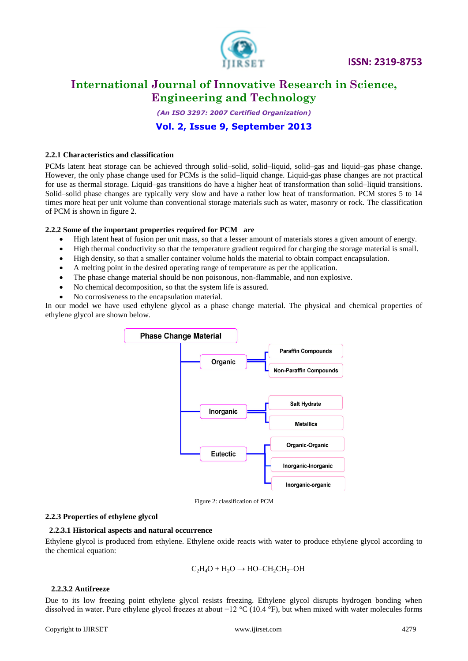

*(An ISO 3297: 2007 Certified Organization)*

**Vol. 2, Issue 9, September 2013**

#### **2.2.1 Characteristics and classification**

PCMs latent heat storage can be achieved through solid–solid, solid–liquid, solid–gas and liquid–gas phase change. However, the only phase change used for PCMs is the solid–liquid change. Liquid-gas phase changes are not practical for use as thermal storage. Liquid–gas transitions do have a higher heat of transformation than solid–liquid transitions. Solid–solid phase changes are typically very slow and have a rather low heat of transformation. PCM stores 5 to 14 times more heat per unit volume than conventional storage materials such as water, masonry or rock. The classification of PCM is shown in figure 2.

#### **2.2.2 Some of the important properties required for PCM are**

- High latent heat of fusion per unit mass, so that a lesser amount of materials stores a given amount of energy.
- High thermal conductivity so that the temperature gradient required for charging the storage material is small.
- High density, so that a smaller container volume holds the material to obtain compact encapsulation.
- A melting point in the desired operating range of temperature as per the application.
- The phase change material should be non poisonous, non-flammable, and non explosive.
- No chemical decomposition, so that the system life is assured.
- No corrosiveness to the encapsulation material.

In our model we have used ethylene glycol as a phase change material. The physical and chemical properties of ethylene glycol are shown below.



Figure 2: classification of PCM

#### **2.2.3 Properties of ethylene glycol**

#### **2.2.3.1 Historical aspects and natural occurrence**

Ethylene glycol is produced from ethylene. Ethylene oxide reacts with water to produce ethylene glycol according to the chemical equation:

$$
C_2H_4O + H_2O \rightarrow HO-CH_2CH_2-OH
$$

#### **2.2.3.2 Antifreeze**

Due to its low freezing point ethylene glycol resists freezing. Ethylene glycol disrupts hydrogen bonding when dissolved in water. Pure ethylene glycol freezes at about −12 °C (10.4 °F), but when mixed with water molecules forms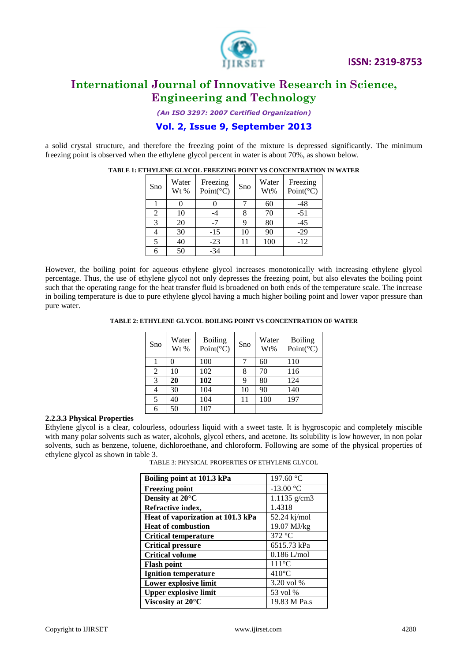

*(An ISO 3297: 2007 Certified Organization)*

### **Vol. 2, Issue 9, September 2013**

a solid crystal structure, and therefore the freezing point of the mixture is depressed significantly. The minimum freezing point is observed when the ethylene glycol percent in water is about 70%, as shown below.

| Sno | Water<br>Wt % | Freezing<br>Point( ${}^{\circ}$ C) | Sno | Water<br>Wt% | Freezing<br>Point(°C) |
|-----|---------------|------------------------------------|-----|--------------|-----------------------|
|     |               |                                    |     | 60           | -48                   |
| 2   | 10            |                                    |     | 70           | $-51$                 |
| 3   | 20            | $-7$                               |     | 80           | $-45$                 |
|     | 30            | $-15$                              | 10  | 90           | $-29$                 |
|     | 40            | $-23$                              |     | 100          | $-12$                 |
|     | 50            | $-34$                              |     |              |                       |

**TABLE 1: ETHYLENE GLYCOL FREEZING POINT VS CONCENTRATION IN WATER** 

However, the boiling point for aqueous ethylene glycol increases monotonically with increasing ethylene glycol percentage. Thus, the use of ethylene glycol not only depresses the freezing point, but also elevates the boiling point such that the operating range for the heat transfer fluid is broadened on both ends of the temperature scale. The increase in boiling temperature is due to pure ethylene glycol having a much higher boiling point and lower vapor pressure than pure water.

**TABLE 2: ETHYLENE GLYCOL BOILING POINT VS CONCENTRATION OF WATER**

| Sno | Water<br>Wt % | <b>Boiling</b><br>Point( $^{\circ}$ C) | Sno | Water<br>Wt% | <b>Boiling</b><br>Point( ${}^{\circ}$ C) |
|-----|---------------|----------------------------------------|-----|--------------|------------------------------------------|
|     | 0             | 100                                    | 7   | 60           | 110                                      |
| 2   | 10            | 102                                    | 8   | 70           | 116                                      |
| 3   | 20            | 102                                    | 9   | 80           | 124                                      |
| 4   | 30            | 104                                    | 10  | 90           | 140                                      |
| 5   | 40            | 104                                    | 11  | 100          | 197                                      |
| 6   | 50            | 107                                    |     |              |                                          |

#### **2.2.3.3 Physical Properties**

Ethylene glycol is a clear, colourless, odourless liquid with a sweet taste. It is hygroscopic and completely miscible with many polar solvents such as water, alcohols, glycol ethers, and acetone. Its solubility is low however, in non polar solvents, such as benzene, toluene, dichloroethane, and chloroform. Following are some of the physical properties of ethylene glycol as shown in table 3.

TABLE 3: PHYSICAL PROPERTIES OF ETHYLENE GLYCOL

| Boiling point at 101.3 kPa        | 197.60 $^{\circ}$ C |
|-----------------------------------|---------------------|
| <b>Freezing point</b>             | $-13.00 °C$         |
| Density at 20°C                   | 1.1135 g/cm3        |
| Refractive index,                 | 1.4318              |
| Heat of vaporization at 101.3 kPa | 52.24 kj/mol        |
| <b>Heat of combustion</b>         | 19.07 MJ/kg         |
| <b>Critical temperature</b>       | 372 °C              |
| <b>Critical pressure</b>          | 6515.73 kPa         |
| <b>Critical volume</b>            | $0.186$ L/mol       |
| <b>Flash point</b>                | $111^{\circ}$ C     |
| <b>Ignition temperature</b>       | $410^{\circ}$ C     |
| Lower explosive limit             | 3.20 vol %          |
| <b>Upper explosive limit</b>      | 53 vol %            |
| Viscosity at 20°C                 | 19.83 M Pa.s        |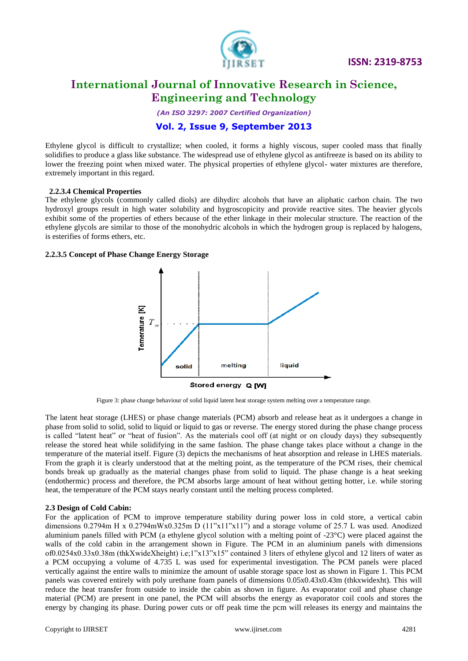

 **ISSN: 2319-8753** 

### **International Journal of Innovative Research in Science, Engineering and Technology**

*(An ISO 3297: 2007 Certified Organization)*

### **Vol. 2, Issue 9, September 2013**

Ethylene glycol is difficult to crystallize; when cooled, it forms a highly viscous, super cooled mass that finally solidifies to produce a glass like substance. The widespread use of ethylene glycol as antifreeze is based on its ability to lower the freezing point when mixed water. The physical properties of ethylene glycol- water mixtures are therefore, extremely important in this regard.

#### **2.2.3.4 Chemical Properties**

The ethylene glycols (commonly called diols) are dihydirc alcohols that have an aliphatic carbon chain. The two hydroxyl groups result in high water solubility and hygroscopicity and provide reactive sites. The heavier glycols exhibit some of the properties of ethers because of the ether linkage in their molecular structure. The reaction of the ethylene glycols are similar to those of the monohydric alcohols in which the hydrogen group is replaced by halogens, is esterifies of forms ethers, etc.

#### **2.2.3.5 Concept of Phase Change Energy Storage**



Figure 3: phase change behaviour of solid liquid latent heat storage system melting over a temperature range.

The latent heat storage (LHES) or phase change materials (PCM) absorb and release heat as it undergoes a change in phase from solid to solid, solid to liquid or liquid to gas or reverse. The energy stored during the phase change process is called "latent heat" or "heat of fusion". As the materials cool off (at night or on cloudy days) they subsequently release the stored heat while solidifying in the same fashion. The phase change takes place without a change in the temperature of the material itself. Figure (3) depicts the mechanisms of heat absorption and release in LHES materials. From the graph it is clearly understood that at the melting point, as the temperature of the PCM rises, their chemical bonds break up gradually as the material changes phase from solid to liquid. The phase change is a heat seeking (endothermic) process and therefore, the PCM absorbs large amount of heat without getting hotter, i.e. while storing heat, the temperature of the PCM stays nearly constant until the melting process completed.

#### **2.3 Design of Cold Cabin:**

For the application of PCM to improve temperature stability during power loss in cold store, a vertical cabin dimensions  $0.2794$ m H x  $0.2794$ mWx $0.325$ m D  $(11"x11"x11")$  and a storage volume of 25.7 L was used. Anodized aluminium panels filled with PCM (a ethylene glycol solution with a melting point of  $-23^{\circ}$ C) were placed against the walls of the cold cabin in the arrangement shown in Figure. The PCM in an aluminium panels with dimensions of0.0254x0.33x0.38m (thkXwideXheight) i.e;1"x13"x15" contained 3 liters of ethylene glycol and 12 liters of water as a PCM occupying a volume of 4.735 L was used for experimental investigation. The PCM panels were placed vertically against the entire walls to minimize the amount of usable storage space lost as shown in Figure 1. This PCM panels was covered entirely with poly urethane foam panels of dimensions 0.05x0.43x0.43m (thkxwidexht). This will reduce the heat transfer from outside to inside the cabin as shown in figure. As evaporator coil and phase change material (PCM) are present in one panel, the PCM will absorbs the energy as evaporator coil cools and stores the energy by changing its phase. During power cuts or off peak time the pcm will releases its energy and maintains the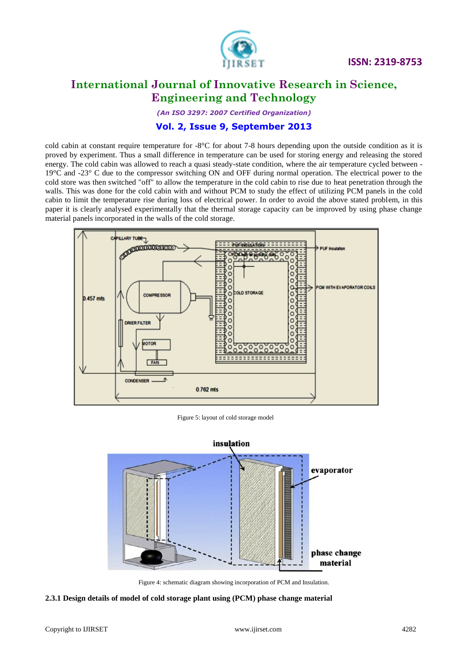

*(An ISO 3297: 2007 Certified Organization)*

### **Vol. 2, Issue 9, September 2013**

cold cabin at constant require temperature for -8°C for about 7-8 hours depending upon the outside condition as it is proved by experiment. Thus a small difference in temperature can be used for storing energy and releasing the stored energy. The cold cabin was allowed to reach a quasi steady-state condition, where the air temperature cycled between - 19°C and -23° C due to the compressor switching ON and OFF during normal operation. The electrical power to the cold store was then switched "off" to allow the temperature in the cold cabin to rise due to heat penetration through the walls. This was done for the cold cabin with and without PCM to study the effect of utilizing PCM panels in the cold cabin to limit the temperature rise during loss of electrical power. In order to avoid the above stated problem, in this paper it is clearly analysed experimentally that the thermal storage capacity can be improved by using phase change material panels incorporated in the walls of the cold storage.

![](_page_5_Figure_6.jpeg)

Figure 5: layout of cold storage model

![](_page_5_Figure_8.jpeg)

Figure 4: schematic diagram showing incorporation of PCM and Insulation.

#### **2.3.1 Design details of model of cold storage plant using (PCM) phase change material**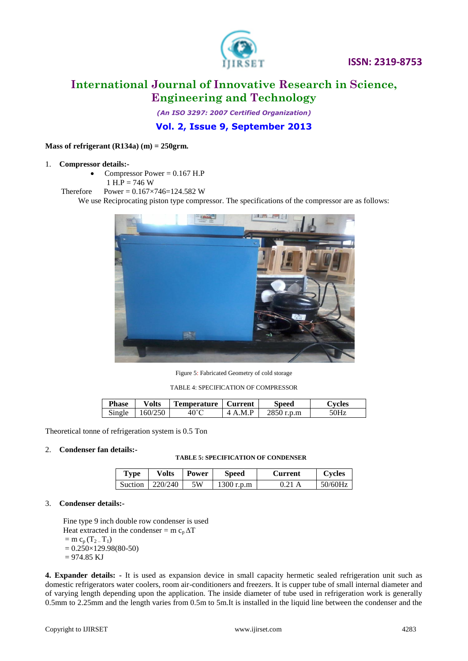![](_page_6_Picture_0.jpeg)

*(An ISO 3297: 2007 Certified Organization)*

**Vol. 2, Issue 9, September 2013**

#### **Mass of refrigerant (R134a) (m) = 250grm.**

#### 1. **Compressor details:-**

- Compressor Power  $= 0.167$  H.P
- $1 H.P = 746 W$
- Therefore Power =  $0.167 \times 746 = 124.582$  W

We use Reciprocating piston type compressor. The specifications of the compressor are as follows:

![](_page_6_Picture_11.jpeg)

Figure 5: Fabricated Geometry of cold storage

TABLE 4: SPECIFICATION OF COMPRESSOR

| <b>Phase</b> | $\mathbf{v}_\text{olts}$          | Temperature | Current                       | speed          | bvcles        |
|--------------|-----------------------------------|-------------|-------------------------------|----------------|---------------|
| Single       | <b>250</b><br>$160/$ <sup>-</sup> |             | M P<br>$\Lambda$<br>$\Lambda$ | 2050.<br>r.p.m | $\sim$ $\sim$ |

Theoretical tonne of refrigeration system is 0.5 Ton

#### 2. **Condenser fan details:-**

#### **TABLE 5: SPECIFICATION OF CONDENSER**

| Type    | <b>Volts</b> | <b>Power</b> | <b>Speed</b> | Current | Cycles  |
|---------|--------------|--------------|--------------|---------|---------|
| Suction | 1220/240     | .5W          | $1300$ r.p.m | 0.21 A  | 50/60Hz |

#### 3. **Condenser details:-**

 Fine type 9 inch double row condenser is used Heat extracted in the condenser =  $m c_n \Delta T$  $=$  m c<sub>p</sub> (T<sub>2</sub> – T<sub>1</sub>)  $= 0.250 \times 129.98(80-50)$  $= 974.85$  KJ

**4. Expander details: -** It is used as expansion device in small capacity hermetic sealed refrigeration unit such as domestic refrigerators water coolers, room air-conditioners and freezers. It is cupper tube of small internal diameter and of varying length depending upon the application. The inside diameter of tube used in refrigeration work is generally 0.5mm to 2.25mm and the length varies from 0.5m to 5m.It is installed in the liquid line between the condenser and the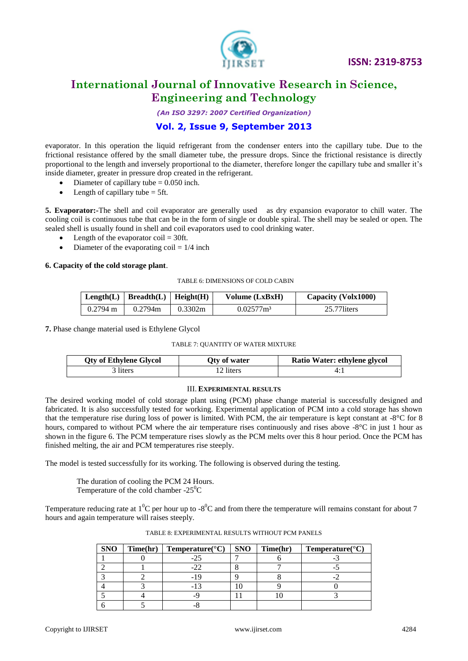![](_page_7_Picture_0.jpeg)

*(An ISO 3297: 2007 Certified Organization)*

### **Vol. 2, Issue 9, September 2013**

evaporator. In this operation the liquid refrigerant from the condenser enters into the capillary tube. Due to the frictional resistance offered by the small diameter tube, the pressure drops. Since the frictional resistance is directly proportional to the length and inversely proportional to the diameter, therefore longer the capillary tube and smaller it's inside diameter, greater in pressure drop created in the refrigerant.

- Diameter of capillary tube  $= 0.050$  inch.
- Length of capillary tube  $= 5$ ft.

**5. Evaporator:-**The shell and coil evaporator are generally used as dry expansion evaporator to chill water. The cooling coil is continuous tube that can be in the form of single or double spiral. The shell may be sealed or open. The sealed shell is usually found in shell and coil evaporators used to cool drinking water.

- Length of the evaporator  $\text{coil} = 30 \text{ft}$ .
- Diameter of the evaporating  $\text{coil} = 1/4$  inch

#### **6. Capacity of the cold storage plant**.

#### TABLE 6: DIMENSIONS OF COLD CABIN

|                    | Length(L)   Breadth(L)   Height(H) |         | Volume (LxBxH)           | Capacity (Volx1000) |
|--------------------|------------------------------------|---------|--------------------------|---------------------|
| $0.2794 \text{ m}$ | 0.2794m                            | 0.3302m | $0.02577$ m <sup>3</sup> | 25.77 liters        |

**7.** Phase change material used is Ethylene Glycol

#### TABLE 7: QUANTITY OF WATER MIXTURE

| <b>Qty of Ethylene Glycol</b> | Oty of water | Ratio Water: ethylene glycol |
|-------------------------------|--------------|------------------------------|
| 3 liters                      | 12 liters    |                              |

#### III. **EXPERIMENTAL RESULTS**

The desired working model of cold storage plant using (PCM) phase change material is successfully designed and fabricated. It is also successfully tested for working. Experimental application of PCM into a cold storage has shown that the temperature rise during loss of power is limited. With PCM, the air temperature is kept constant at  $-8^{\circ}$ C for 8 hours, compared to without PCM where the air temperature rises continuously and rises above -8<sup>o</sup>C in just 1 hour as shown in the figure 6. The PCM temperature rises slowly as the PCM melts over this 8 hour period. Once the PCM has finished melting, the air and PCM temperatures rise steeply.

The model is tested successfully for its working. The following is observed during the testing.

The duration of cooling the PCM 24 Hours.

Temperature of the cold chamber  $-25^{\circ}$ C

Temperature reducing rate at  $1^0C$  per hour up to  $-8^0C$  and from there the temperature will remains constant for about 7 hours and again temperature will raises steeply.

| <b>SNO</b> | Time(hr) | <b>Temperature</b> ( $^{\circ}$ C) | <b>SNO</b> | Time(hr) | Temperature( ${}^{\circ}$ C) |
|------------|----------|------------------------------------|------------|----------|------------------------------|
|            |          |                                    |            |          |                              |
|            |          |                                    |            |          |                              |
|            |          |                                    |            |          |                              |
|            |          |                                    |            |          |                              |
|            |          |                                    |            |          |                              |
|            |          |                                    |            |          |                              |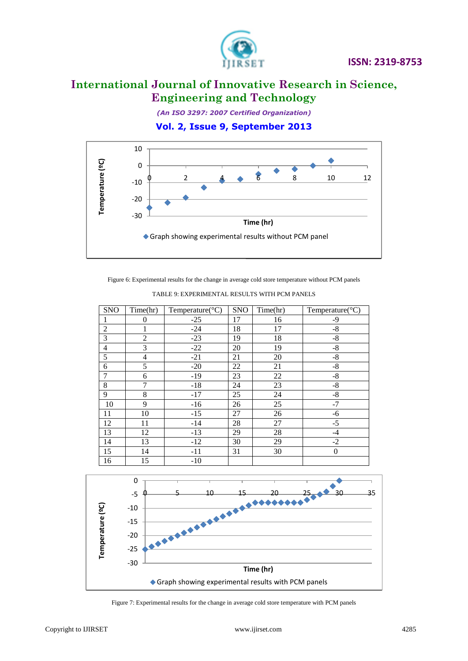![](_page_8_Picture_0.jpeg)

*(An ISO 3297: 2007 Certified Organization)*

**Vol. 2, Issue 9, September 2013**

![](_page_8_Figure_5.jpeg)

Figure 6: Experimental results for the change in average cold store temperature without PCM panels

| <b>SNO</b>     | Time(hr)       | Temperature( ${}^{\circ}$ C) | <b>SNO</b> | Time(hr) | Temperature( ${}^{\circ}$ C) |
|----------------|----------------|------------------------------|------------|----------|------------------------------|
| 1              | $\overline{0}$ | $-25$                        | 17         | 16       | -9                           |
| $\overline{2}$ |                | $-24$                        | 18         | 17       | $-8$                         |
| $\overline{3}$ | $\overline{c}$ | $-23$                        | 19         | 18       | $\mbox{-}8$                  |
| $\overline{4}$ | 3              | $-22$                        | 20         | 19       | $-8$                         |
| 5              | $\overline{4}$ | $-21$                        | 21         | 20       | $-8$                         |
| 6              | 5              | $-20$                        | 22         | 21       | $-8$                         |
| 7              | 6              | $-19$                        | 23         | 22       | $-8$                         |
| 8              | 7              | $-18$                        | 24         | 23       | $-8$                         |
| 9              | 8              | $-17$                        | 25         | 24       | $-8$                         |
| 10             | 9              | $-16$                        | 26         | 25       | $-7$                         |
| 11             | 10             | $-15$                        | 27         | 26       | $-6$                         |
| 12             | 11             | $-14$                        | 28         | 27       | $-5$                         |
| 13             | 12             | $-13$                        | 29         | 28       | $-4$                         |
| 14             | 13             | $-12$                        | 30         | 29       | $-2$                         |
| 15             | 14             | $-11$                        | 31         | 30       | $\overline{0}$               |
| 16             | 15             | $-10$                        |            |          |                              |

TABLE 9: EXPERIMENTAL RESULTS WITH PCM PANELS

![](_page_8_Figure_9.jpeg)

Figure 7: Experimental results for the change in average cold store temperature with PCM panels